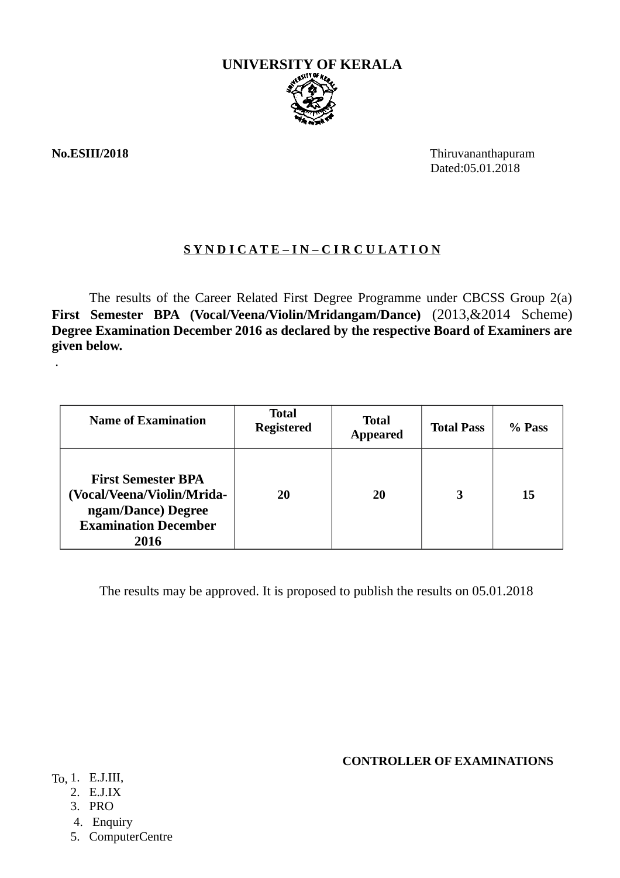

.

**No.ESIII/2018** Thiruvananthapuram Dated:05.01.2018

### **S Y N D I C A T E – I N – C I R C U L A T I O N**

The results of the Career Related First Degree Programme under CBCSS Group 2(a) **First Semester BPA (Vocal/Veena/Violin/Mridangam/Dance)** (2013,&2014 Scheme) **Degree Examination December 2016 as declared by the respective Board of Examiners are given below.**

| <b>Name of Examination</b>                                                                                           | Total<br><b>Registered</b> | <b>Total</b><br><b>Appeared</b> | <b>Total Pass</b> | % Pass |
|----------------------------------------------------------------------------------------------------------------------|----------------------------|---------------------------------|-------------------|--------|
| <b>First Semester BPA</b><br>(Vocal/Veena/Violin/Mrida-<br>ngam/Dance) Degree<br><b>Examination December</b><br>2016 | 20                         | 20                              |                   | 15     |

The results may be approved. It is proposed to publish the results on 05.01.2018

**CONTROLLER OF EXAMINATIONS**

To, 1. E.J.III,

- 2. E.J.IX
- 3. PRO
- 4. Enquiry
- 5. ComputerCentre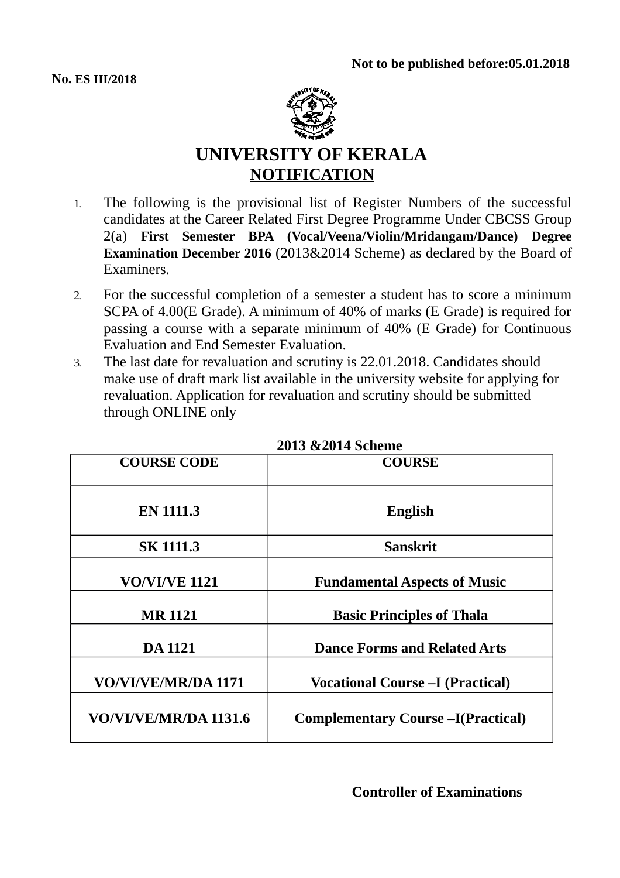

# **UNIVERSITY OF KERALA NOTIFICATION**

- 1. The following is the provisional list of Register Numbers of the successful candidates at the Career Related First Degree Programme Under CBCSS Group 2(a) **First Semester BPA (Vocal/Veena/Violin/Mridangam/Dance) Degree Examination December 2016** (2013&2014 Scheme) as declared by the Board of Examiners.
- 2. For the successful completion of a semester a student has to score a minimum SCPA of 4.00(E Grade). A minimum of 40% of marks (E Grade) is required for passing a course with a separate minimum of 40% (E Grade) for Continuous Evaluation and End Semester Evaluation.
- 3. The last date for revaluation and scrutiny is 22.01.2018. Candidates should make use of draft mark list available in the university website for applying for revaluation. Application for revaluation and scrutiny should be submitted through ONLINE only

| 4019 ОСОГТ ЭСПСШС     |                                           |  |  |
|-----------------------|-------------------------------------------|--|--|
| <b>COURSE CODE</b>    | <b>COURSE</b>                             |  |  |
| <b>EN 1111.3</b>      | <b>English</b>                            |  |  |
| <b>SK 1111.3</b>      | <b>Sanskrit</b>                           |  |  |
| <b>VO/VI/VE 1121</b>  | <b>Fundamental Aspects of Music</b>       |  |  |
| <b>MR 1121</b>        | <b>Basic Principles of Thala</b>          |  |  |
| <b>DA 1121</b>        | <b>Dance Forms and Related Arts</b>       |  |  |
| VO/VI/VE/MR/DA 1171   | <b>Vocational Course - I (Practical)</b>  |  |  |
| VO/VI/VE/MR/DA 1131.6 | <b>Complementary Course –I(Practical)</b> |  |  |

|  |  | 2013 & 2014 Scheme |
|--|--|--------------------|
|--|--|--------------------|

**Controller of Examinations**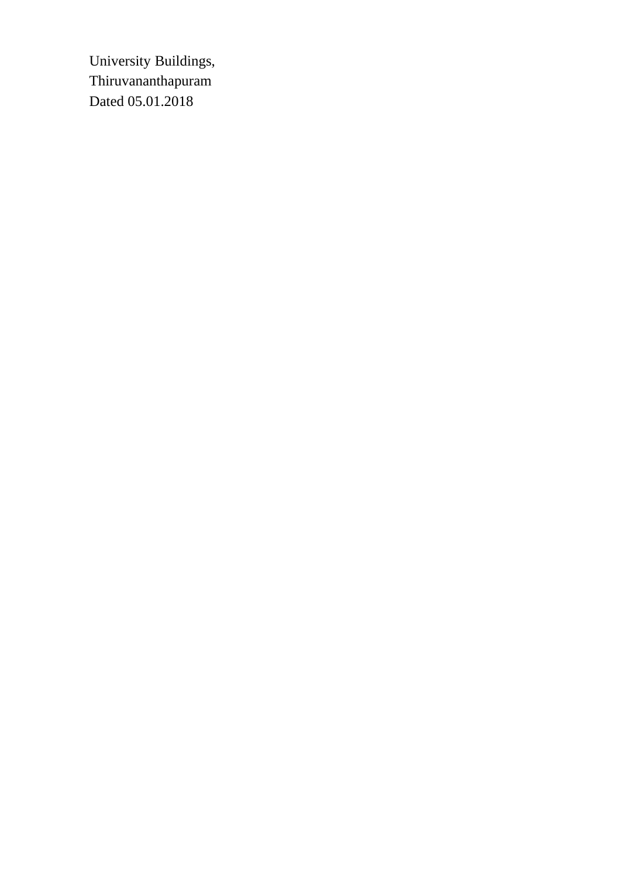University Buildings, Thiruvananthapuram Dated 05.01.2018